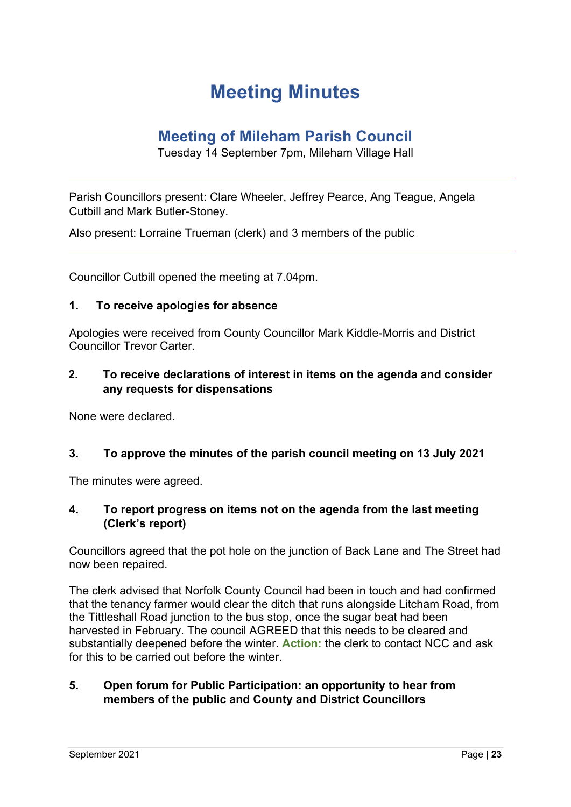# **Meeting Minutes**

# **Meeting of Mileham Parish Council**

Tuesday 14 September 7pm, Mileham Village Hall

Parish Councillors present: Clare Wheeler, Jeffrey Pearce, Ang Teague, Angela Cutbill and Mark Butler-Stoney.

Also present: Lorraine Trueman (clerk) and 3 members of the public

Councillor Cutbill opened the meeting at 7.04pm.

#### **1. To receive apologies for absence**

Apologies were received from County Councillor Mark Kiddle-Morris and District Councillor Trevor Carter.

#### **2. To receive declarations of interest in items on the agenda and consider any requests for dispensations**

None were declared.

#### **3. To approve the minutes of the parish council meeting on 13 July 2021**

The minutes were agreed.

#### **4. To report progress on items not on the agenda from the last meeting (Clerk's report)**

Councillors agreed that the pot hole on the junction of Back Lane and The Street had now been repaired.

The clerk advised that Norfolk County Council had been in touch and had confirmed that the tenancy farmer would clear the ditch that runs alongside Litcham Road, from the Tittleshall Road junction to the bus stop, once the sugar beat had been harvested in February. The council AGREED that this needs to be cleared and substantially deepened before the winter. **Action:** the clerk to contact NCC and ask for this to be carried out before the winter.

#### **5. Open forum for Public Participation: an opportunity to hear from members of the public and County and District Councillors**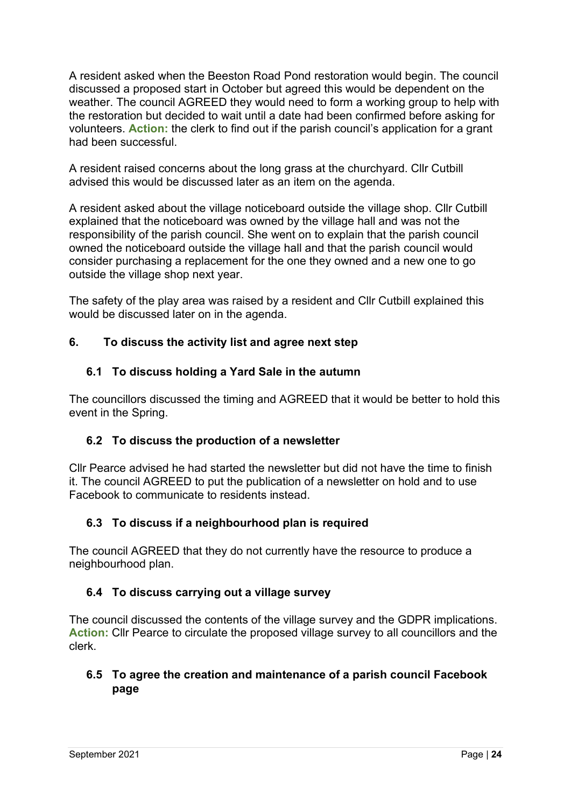A resident asked when the Beeston Road Pond restoration would begin. The council discussed a proposed start in October but agreed this would be dependent on the weather. The council AGREED they would need to form a working group to help with the restoration but decided to wait until a date had been confirmed before asking for volunteers. **Action:** the clerk to find out if the parish council's application for a grant had been successful.

A resident raised concerns about the long grass at the churchyard. Cllr Cutbill advised this would be discussed later as an item on the agenda.

A resident asked about the village noticeboard outside the village shop. Cllr Cutbill explained that the noticeboard was owned by the village hall and was not the responsibility of the parish council. She went on to explain that the parish council owned the noticeboard outside the village hall and that the parish council would consider purchasing a replacement for the one they owned and a new one to go outside the village shop next year.

The safety of the play area was raised by a resident and Cllr Cutbill explained this would be discussed later on in the agenda.

# **6. To discuss the activity list and agree next step**

# **6.1 To discuss holding a Yard Sale in the autumn**

The councillors discussed the timing and AGREED that it would be better to hold this event in the Spring.

# **6.2 To discuss the production of a newsletter**

Cllr Pearce advised he had started the newsletter but did not have the time to finish it. The council AGREED to put the publication of a newsletter on hold and to use Facebook to communicate to residents instead.

# **6.3 To discuss if a neighbourhood plan is required**

The council AGREED that they do not currently have the resource to produce a neighbourhood plan.

# **6.4 To discuss carrying out a village survey**

The council discussed the contents of the village survey and the GDPR implications. **Action:** Cllr Pearce to circulate the proposed village survey to all councillors and the clerk.

# **6.5 To agree the creation and maintenance of a parish council Facebook page**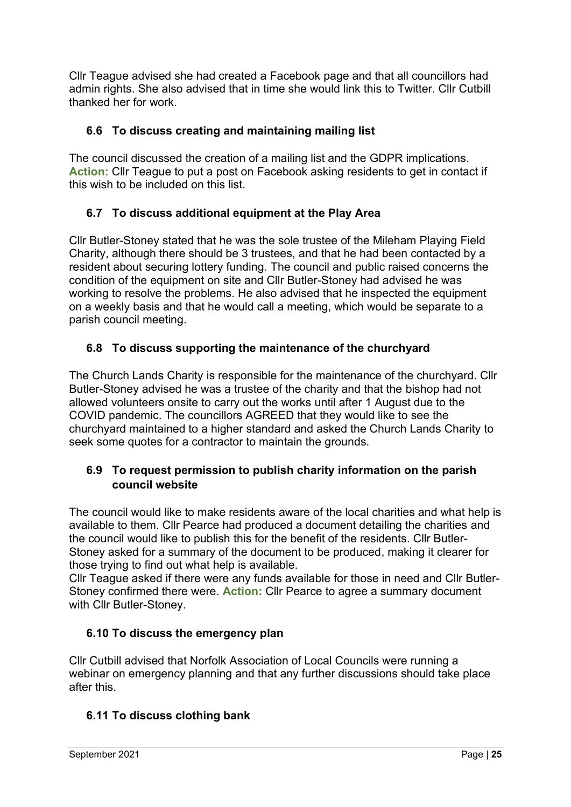Cllr Teague advised she had created a Facebook page and that all councillors had admin rights. She also advised that in time she would link this to Twitter. Cllr Cutbill thanked her for work.

# **6.6 To discuss creating and maintaining mailing list**

The council discussed the creation of a mailing list and the GDPR implications. **Action:** Cllr Teague to put a post on Facebook asking residents to get in contact if this wish to be included on this list.

# **6.7 To discuss additional equipment at the Play Area**

Cllr Butler-Stoney stated that he was the sole trustee of the Mileham Playing Field Charity, although there should be 3 trustees, and that he had been contacted by a resident about securing lottery funding. The council and public raised concerns the condition of the equipment on site and Cllr Butler-Stoney had advised he was working to resolve the problems. He also advised that he inspected the equipment on a weekly basis and that he would call a meeting, which would be separate to a parish council meeting.

# **6.8 To discuss supporting the maintenance of the churchyard**

The Church Lands Charity is responsible for the maintenance of the churchyard. Cllr Butler-Stoney advised he was a trustee of the charity and that the bishop had not allowed volunteers onsite to carry out the works until after 1 August due to the COVID pandemic. The councillors AGREED that they would like to see the churchyard maintained to a higher standard and asked the Church Lands Charity to seek some quotes for a contractor to maintain the grounds.

# **6.9 To request permission to publish charity information on the parish council website**

The council would like to make residents aware of the local charities and what help is available to them. Cllr Pearce had produced a document detailing the charities and the council would like to publish this for the benefit of the residents. Cllr Butler-Stoney asked for a summary of the document to be produced, making it clearer for those trying to find out what help is available.

Cllr Teague asked if there were any funds available for those in need and Cllr Butler-Stoney confirmed there were. **Action:** Cllr Pearce to agree a summary document with Cllr Butler-Stoney.

# **6.10 To discuss the emergency plan**

Cllr Cutbill advised that Norfolk Association of Local Councils were running a webinar on emergency planning and that any further discussions should take place after this.

# **6.11 To discuss clothing bank**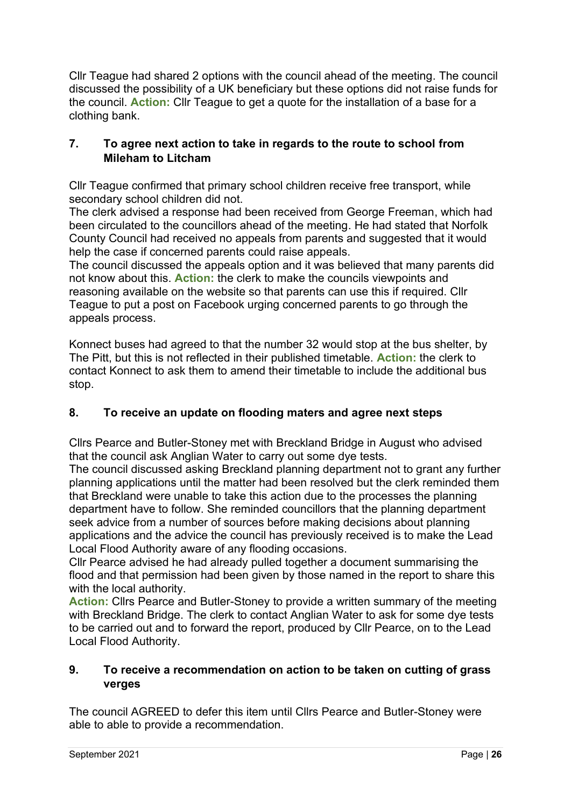Cllr Teague had shared 2 options with the council ahead of the meeting. The council discussed the possibility of a UK beneficiary but these options did not raise funds for the council. **Action:** Cllr Teague to get a quote for the installation of a base for a clothing bank.

# **7. To agree next action to take in regards to the route to school from Mileham to Litcham**

Cllr Teague confirmed that primary school children receive free transport, while secondary school children did not.

The clerk advised a response had been received from George Freeman, which had been circulated to the councillors ahead of the meeting. He had stated that Norfolk County Council had received no appeals from parents and suggested that it would help the case if concerned parents could raise appeals.

The council discussed the appeals option and it was believed that many parents did not know about this. **Action:** the clerk to make the councils viewpoints and reasoning available on the website so that parents can use this if required. Cllr Teague to put a post on Facebook urging concerned parents to go through the appeals process.

Konnect buses had agreed to that the number 32 would stop at the bus shelter, by The Pitt, but this is not reflected in their published timetable. **Action:** the clerk to contact Konnect to ask them to amend their timetable to include the additional bus stop.

# **8. To receive an update on flooding maters and agree next steps**

Cllrs Pearce and Butler-Stoney met with Breckland Bridge in August who advised that the council ask Anglian Water to carry out some dye tests.

The council discussed asking Breckland planning department not to grant any further planning applications until the matter had been resolved but the clerk reminded them that Breckland were unable to take this action due to the processes the planning department have to follow. She reminded councillors that the planning department seek advice from a number of sources before making decisions about planning applications and the advice the council has previously received is to make the Lead Local Flood Authority aware of any flooding occasions.

Cllr Pearce advised he had already pulled together a document summarising the flood and that permission had been given by those named in the report to share this with the local authority.

**Action:** Cllrs Pearce and Butler-Stoney to provide a written summary of the meeting with Breckland Bridge. The clerk to contact Anglian Water to ask for some dye tests to be carried out and to forward the report, produced by Cllr Pearce, on to the Lead Local Flood Authority.

# **9. To receive a recommendation on action to be taken on cutting of grass verges**

The council AGREED to defer this item until Cllrs Pearce and Butler-Stoney were able to able to provide a recommendation.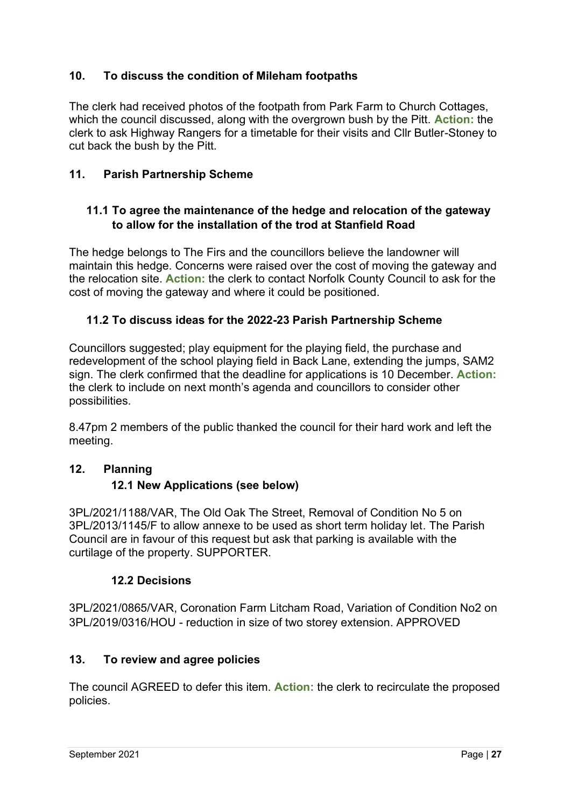# **10. To discuss the condition of Mileham footpaths**

The clerk had received photos of the footpath from Park Farm to Church Cottages, which the council discussed, along with the overgrown bush by the Pitt. **Action:** the clerk to ask Highway Rangers for a timetable for their visits and Cllr Butler-Stoney to cut back the bush by the Pitt.

# **11. Parish Partnership Scheme**

#### **11.1 To agree the maintenance of the hedge and relocation of the gateway to allow for the installation of the trod at Stanfield Road**

The hedge belongs to The Firs and the councillors believe the landowner will maintain this hedge. Concerns were raised over the cost of moving the gateway and the relocation site. **Action:** the clerk to contact Norfolk County Council to ask for the cost of moving the gateway and where it could be positioned.

#### **11.2 To discuss ideas for the 2022-23 Parish Partnership Scheme**

Councillors suggested; play equipment for the playing field, the purchase and redevelopment of the school playing field in Back Lane, extending the jumps, SAM2 sign. The clerk confirmed that the deadline for applications is 10 December. **Action:**  the clerk to include on next month's agenda and councillors to consider other possibilities.

8.47pm 2 members of the public thanked the council for their hard work and left the meeting.

#### **12. Planning**

# **12.1 New Applications (see below)**

3PL/2021/1188/VAR, The Old Oak The Street, Removal of Condition No 5 on 3PL/2013/1145/F to allow annexe to be used as short term holiday let. The Parish Council are in favour of this request but ask that parking is available with the curtilage of the property. SUPPORTER.

#### **12.2 Decisions**

3PL/2021/0865/VAR, Coronation Farm Litcham Road, Variation of Condition No2 on 3PL/2019/0316/HOU - reduction in size of two storey extension. APPROVED

#### **13. To review and agree policies**

The council AGREED to defer this item. **Action:** the clerk to recirculate the proposed policies.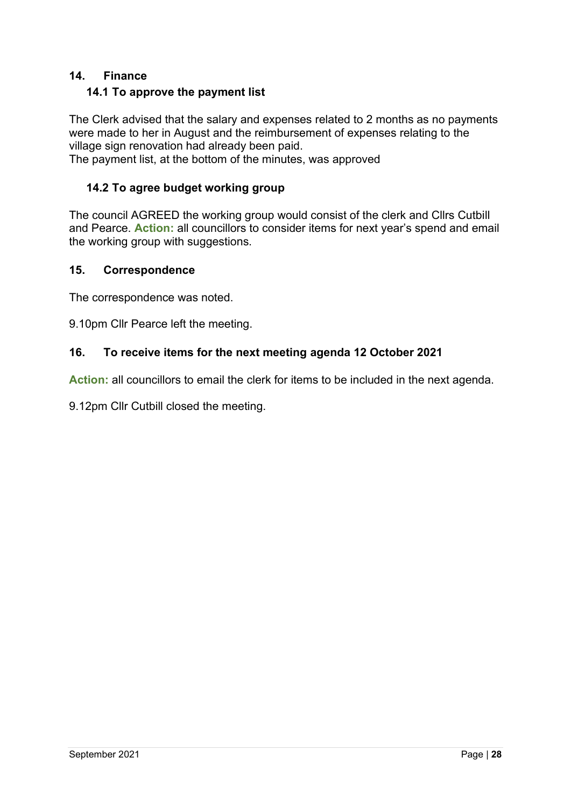#### **14. Finance**

#### **14.1 To approve the payment list**

The Clerk advised that the salary and expenses related to 2 months as no payments were made to her in August and the reimbursement of expenses relating to the village sign renovation had already been paid.

The payment list, at the bottom of the minutes, was approved

#### **14.2 To agree budget working group**

The council AGREED the working group would consist of the clerk and Cllrs Cutbill and Pearce. **Action:** all councillors to consider items for next year's spend and email the working group with suggestions.

#### **15. Correspondence**

The correspondence was noted.

9.10pm Cllr Pearce left the meeting.

#### **16. To receive items for the next meeting agenda 12 October 2021**

**Action:** all councillors to email the clerk for items to be included in the next agenda.

9.12pm Cllr Cutbill closed the meeting.